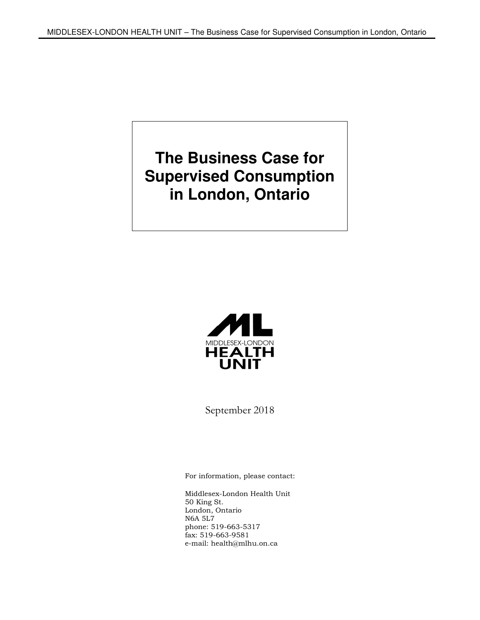**The Business Case for Supervised Consumption in London, Ontario** 



September 2018

For information, please contact:

Middlesex-London Health Unit 50 King St. London, Ontario N6A 5L7 phone: 519-663-5317 fax: 519-663-9581 e-mail: health@mlhu.on.ca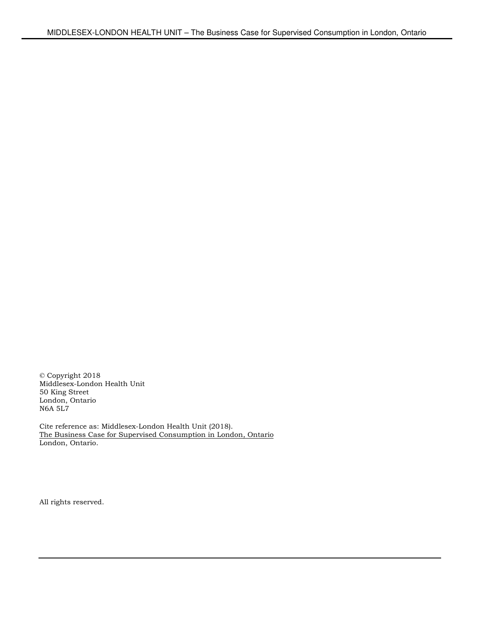© Copyright 2018 Middlesex-London Health Unit 50 King Street London, Ontario N6A 5L7

Cite reference as: Middlesex-London Health Unit (2018). The Business Case for Supervised Consumption in London, Ontario London, Ontario.

All rights reserved.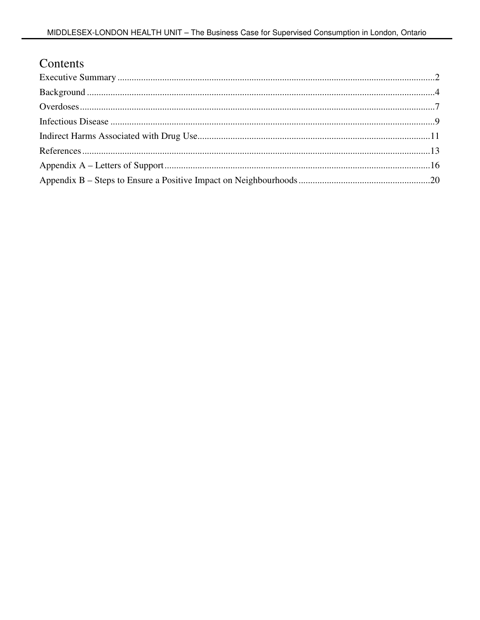### Contents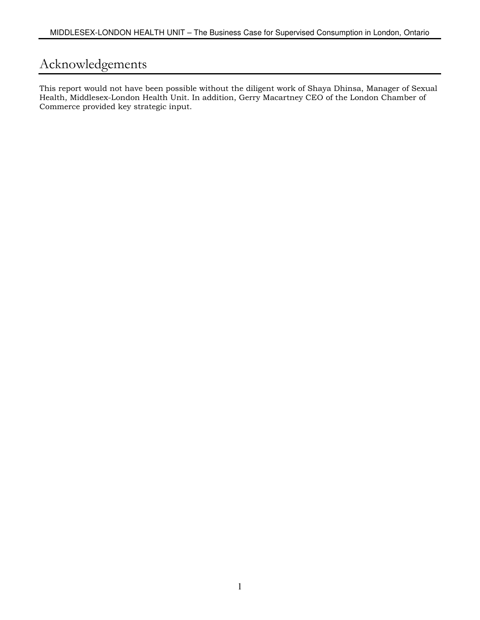### Acknowledgements

This report would not have been possible without the diligent work of Shaya Dhinsa, Manager of Sexual Health, Middlesex-London Health Unit. In addition, Gerry Macartney CEO of the London Chamber of Commerce provided key strategic input.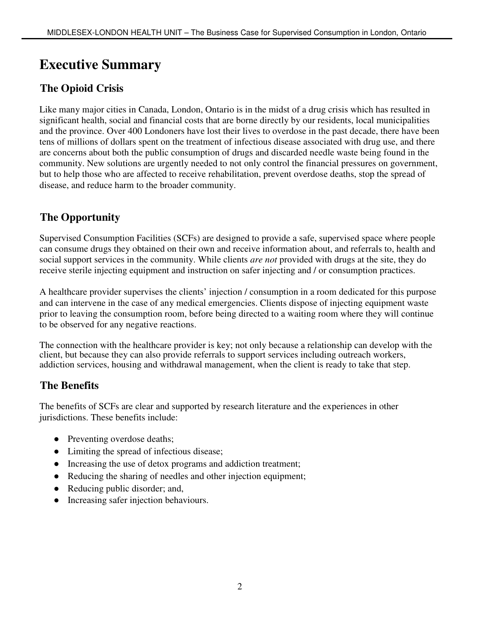# **Executive Summary**

### **The Opioid Crisis**

Like many major cities in Canada, London, Ontario is in the midst of a drug crisis which has resulted in significant health, social and financial costs that are borne directly by our residents, local municipalities and the province. Over 400 Londoners have lost their lives to overdose in the past decade, there have been tens of millions of dollars spent on the treatment of infectious disease associated with drug use, and there are concerns about both the public consumption of drugs and discarded needle waste being found in the community. New solutions are urgently needed to not only control the financial pressures on government, but to help those who are affected to receive rehabilitation, prevent overdose deaths, stop the spread of disease, and reduce harm to the broader community.

### **The Opportunity**

Supervised Consumption Facilities (SCFs) are designed to provide a safe, supervised space where people can consume drugs they obtained on their own and receive information about, and referrals to, health and social support services in the community. While clients *are not* provided with drugs at the site, they do receive sterile injecting equipment and instruction on safer injecting and / or consumption practices.

A healthcare provider supervises the clients' injection / consumption in a room dedicated for this purpose and can intervene in the case of any medical emergencies. Clients dispose of injecting equipment waste prior to leaving the consumption room, before being directed to a waiting room where they will continue to be observed for any negative reactions.

The connection with the healthcare provider is key; not only because a relationship can develop with the client, but because they can also provide referrals to support services including outreach workers, addiction services, housing and withdrawal management, when the client is ready to take that step.

### **The Benefits**

The benefits of SCFs are clear and supported by research literature and the experiences in other jurisdictions. These benefits include:

- Preventing overdose deaths;
- Limiting the spread of infectious disease;
- Increasing the use of detox programs and addiction treatment;
- Reducing the sharing of needles and other injection equipment;
- Reducing public disorder; and,
- Increasing safer injection behaviours.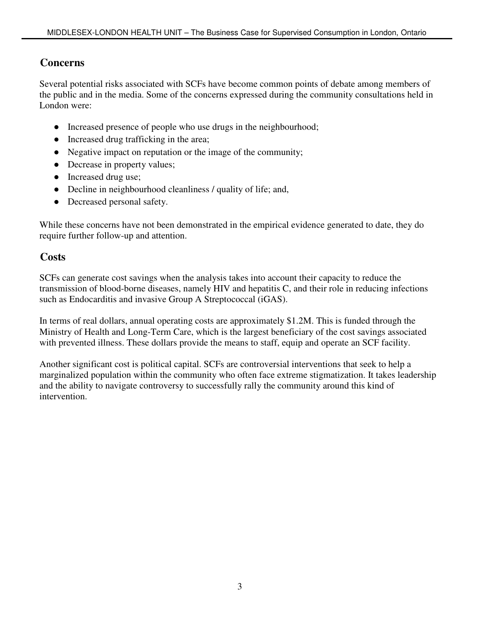### **Concerns**

Several potential risks associated with SCFs have become common points of debate among members of the public and in the media. Some of the concerns expressed during the community consultations held in London were:

- Increased presence of people who use drugs in the neighbourhood;
- Increased drug trafficking in the area;
- Negative impact on reputation or the image of the community;
- Decrease in property values;
- Increased drug use;
- Decline in neighbourhood cleanliness / quality of life; and,
- Decreased personal safety.

While these concerns have not been demonstrated in the empirical evidence generated to date, they do require further follow-up and attention.

### **Costs**

SCFs can generate cost savings when the analysis takes into account their capacity to reduce the transmission of blood-borne diseases, namely HIV and hepatitis C, and their role in reducing infections such as Endocarditis and invasive Group A Streptococcal (iGAS).

In terms of real dollars, annual operating costs are approximately \$1.2M. This is funded through the Ministry of Health and Long-Term Care, which is the largest beneficiary of the cost savings associated with prevented illness. These dollars provide the means to staff, equip and operate an SCF facility.

Another significant cost is political capital. SCFs are controversial interventions that seek to help a marginalized population within the community who often face extreme stigmatization. It takes leadership and the ability to navigate controversy to successfully rally the community around this kind of intervention.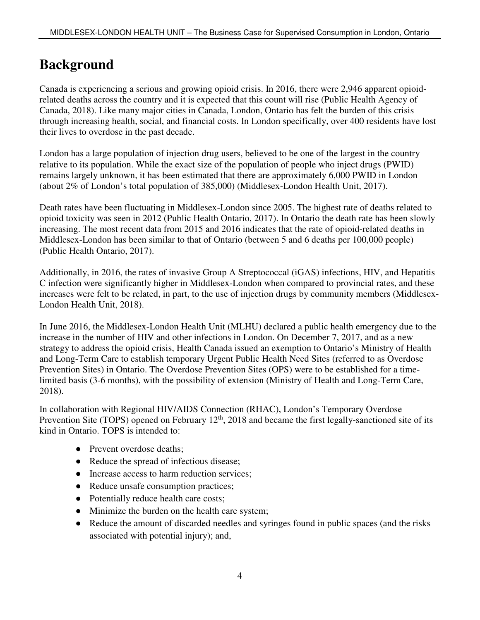# **Background**

Canada is experiencing a serious and growing opioid crisis. In 2016, there were 2,946 apparent opioidrelated deaths across the country and it is expected that this count will rise (Public Health Agency of Canada, 2018). Like many major cities in Canada, London, Ontario has felt the burden of this crisis through increasing health, social, and financial costs. In London specifically, over 400 residents have lost their lives to overdose in the past decade.

London has a large population of injection drug users, believed to be one of the largest in the country relative to its population. While the exact size of the population of people who inject drugs (PWID) remains largely unknown, it has been estimated that there are approximately 6,000 PWID in London (about 2% of London's total population of 385,000) (Middlesex-London Health Unit, 2017).

Death rates have been fluctuating in Middlesex-London since 2005. The highest rate of deaths related to opioid toxicity was seen in 2012 (Public Health Ontario, 2017). In Ontario the death rate has been slowly increasing. The most recent data from 2015 and 2016 indicates that the rate of opioid-related deaths in Middlesex-London has been similar to that of Ontario (between 5 and 6 deaths per 100,000 people) (Public Health Ontario, 2017).

Additionally, in 2016, the rates of invasive Group A Streptococcal (iGAS) infections, HIV, and Hepatitis C infection were significantly higher in Middlesex-London when compared to provincial rates, and these increases were felt to be related, in part, to the use of injection drugs by community members (Middlesex-London Health Unit, 2018).

In June 2016, the Middlesex-London Health Unit (MLHU) declared a public health emergency due to the increase in the number of HIV and other infections in London. On December 7, 2017, and as a new strategy to address the opioid crisis, Health Canada issued an exemption to Ontario's Ministry of Health and Long-Term Care to establish temporary Urgent Public Health Need Sites (referred to as Overdose Prevention Sites) in Ontario. The Overdose Prevention Sites (OPS) were to be established for a timelimited basis (3-6 months), with the possibility of extension (Ministry of Health and Long-Term Care, 2018).

In collaboration with Regional HIV/AIDS Connection (RHAC), London's Temporary Overdose Prevention Site (TOPS) opened on February 12<sup>th</sup>, 2018 and became the first legally-sanctioned site of its kind in Ontario. TOPS is intended to:

- Prevent overdose deaths:
- Reduce the spread of infectious disease;
- Increase access to harm reduction services;
- Reduce unsafe consumption practices;
- Potentially reduce health care costs;
- Minimize the burden on the health care system;
- Reduce the amount of discarded needles and syringes found in public spaces (and the risks associated with potential injury); and,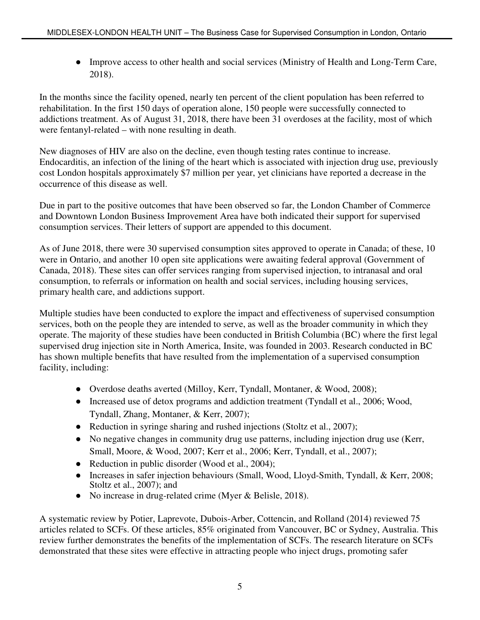• Improve access to other health and social services (Ministry of Health and Long-Term Care, 2018).

In the months since the facility opened, nearly ten percent of the client population has been referred to rehabilitation. In the first 150 days of operation alone, 150 people were successfully connected to addictions treatment. As of August 31, 2018, there have been 31 overdoses at the facility, most of which were fentanyl-related – with none resulting in death.

New diagnoses of HIV are also on the decline, even though testing rates continue to increase. Endocarditis, an infection of the lining of the heart which is associated with injection drug use, previously cost London hospitals approximately \$7 million per year, yet clinicians have reported a decrease in the occurrence of this disease as well.

Due in part to the positive outcomes that have been observed so far, the London Chamber of Commerce and Downtown London Business Improvement Area have both indicated their support for supervised consumption services. Their letters of support are appended to this document.

As of June 2018, there were 30 supervised consumption sites approved to operate in Canada; of these, 10 were in Ontario, and another 10 open site applications were awaiting federal approval (Government of Canada, 2018). These sites can offer services ranging from supervised injection, to intranasal and oral consumption, to referrals or information on health and social services, including housing services, primary health care, and addictions support.

Multiple studies have been conducted to explore the impact and effectiveness of supervised consumption services, both on the people they are intended to serve, as well as the broader community in which they operate. The majority of these studies have been conducted in British Columbia (BC) where the first legal supervised drug injection site in North America, Insite, was founded in 2003. Research conducted in BC has shown multiple benefits that have resulted from the implementation of a supervised consumption facility, including:

- Overdose deaths averted (Milloy, Kerr, Tyndall, Montaner, & Wood, 2008);
- Increased use of detox programs and addiction treatment (Tyndall et al., 2006; Wood, Tyndall, Zhang, Montaner, & Kerr, 2007);
- Reduction in syringe sharing and rushed injections (Stoltz et al., 2007);
- No negative changes in community drug use patterns, including injection drug use (Kerr, Small, Moore, & Wood, 2007; Kerr et al., 2006; Kerr, Tyndall, et al., 2007);
- Reduction in public disorder (Wood et al., 2004);
- Increases in safer injection behaviours (Small, Wood, Lloyd-Smith, Tyndall, & Kerr, 2008; Stoltz et al., 2007); and
- No increase in drug-related crime (Myer & Belisle, 2018).

A systematic review by Potier, Laprevote, Dubois-Arber, Cottencin, and Rolland (2014) reviewed 75 articles related to SCFs. Of these articles, 85% originated from Vancouver, BC or Sydney, Australia. This review further demonstrates the benefits of the implementation of SCFs. The research literature on SCFs demonstrated that these sites were effective in attracting people who inject drugs, promoting safer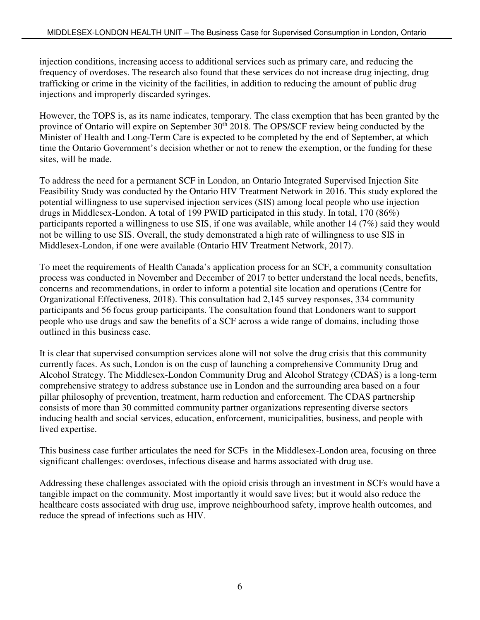injection conditions, increasing access to additional services such as primary care, and reducing the frequency of overdoses. The research also found that these services do not increase drug injecting, drug trafficking or crime in the vicinity of the facilities, in addition to reducing the amount of public drug injections and improperly discarded syringes.

However, the TOPS is, as its name indicates, temporary. The class exemption that has been granted by the province of Ontario will expire on September 30<sup>th</sup> 2018. The OPS/SCF review being conducted by the Minister of Health and Long-Term Care is expected to be completed by the end of September, at which time the Ontario Government's decision whether or not to renew the exemption, or the funding for these sites, will be made.

To address the need for a permanent SCF in London, an Ontario Integrated Supervised Injection Site Feasibility Study was conducted by the Ontario HIV Treatment Network in 2016. This study explored the potential willingness to use supervised injection services (SIS) among local people who use injection drugs in Middlesex-London. A total of 199 PWID participated in this study. In total, 170 (86%) participants reported a willingness to use SIS, if one was available, while another 14 (7%) said they would not be willing to use SIS. Overall, the study demonstrated a high rate of willingness to use SIS in Middlesex-London, if one were available (Ontario HIV Treatment Network, 2017).

To meet the requirements of Health Canada's application process for an SCF, a community consultation process was conducted in November and December of 2017 to better understand the local needs, benefits, concerns and recommendations, in order to inform a potential site location and operations (Centre for Organizational Effectiveness, 2018). This consultation had 2,145 survey responses, 334 community participants and 56 focus group participants. The consultation found that Londoners want to support people who use drugs and saw the benefits of a SCF across a wide range of domains, including those outlined in this business case.

It is clear that supervised consumption services alone will not solve the drug crisis that this community currently faces. As such, London is on the cusp of launching a comprehensive Community Drug and Alcohol Strategy. The Middlesex-London Community Drug and Alcohol Strategy (CDAS) is a long-term comprehensive strategy to address substance use in London and the surrounding area based on a four pillar philosophy of prevention, treatment, harm reduction and enforcement. The CDAS partnership consists of more than 30 committed community partner organizations representing diverse sectors inducing health and social services, education, enforcement, municipalities, business, and people with lived expertise.

This business case further articulates the need for SCFs in the Middlesex-London area, focusing on three significant challenges: overdoses, infectious disease and harms associated with drug use.

Addressing these challenges associated with the opioid crisis through an investment in SCFs would have a tangible impact on the community. Most importantly it would save lives; but it would also reduce the healthcare costs associated with drug use, improve neighbourhood safety, improve health outcomes, and reduce the spread of infections such as HIV.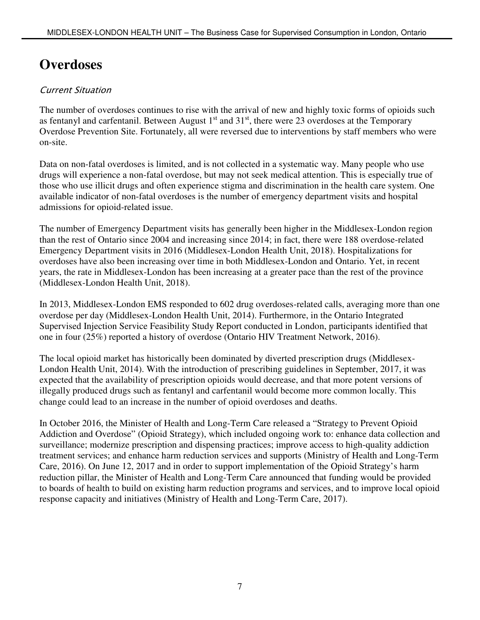# **Overdoses**

### Current Situation

The number of overdoses continues to rise with the arrival of new and highly toxic forms of opioids such as fentanyl and carfentanil. Between August  $1<sup>st</sup>$  and  $31<sup>st</sup>$ , there were 23 overdoses at the Temporary Overdose Prevention Site. Fortunately, all were reversed due to interventions by staff members who were on-site.

Data on non-fatal overdoses is limited, and is not collected in a systematic way. Many people who use drugs will experience a non-fatal overdose, but may not seek medical attention. This is especially true of those who use illicit drugs and often experience stigma and discrimination in the health care system. One available indicator of non-fatal overdoses is the number of emergency department visits and hospital admissions for opioid-related issue.

The number of Emergency Department visits has generally been higher in the Middlesex-London region than the rest of Ontario since 2004 and increasing since 2014; in fact, there were 188 overdose-related Emergency Department visits in 2016 (Middlesex-London Health Unit, 2018). Hospitalizations for overdoses have also been increasing over time in both Middlesex-London and Ontario. Yet, in recent years, the rate in Middlesex-London has been increasing at a greater pace than the rest of the province (Middlesex-London Health Unit, 2018).

In 2013, Middlesex-London EMS responded to 602 drug overdoses-related calls, averaging more than one overdose per day (Middlesex-London Health Unit, 2014). Furthermore, in the Ontario Integrated Supervised Injection Service Feasibility Study Report conducted in London, participants identified that one in four (25%) reported a history of overdose (Ontario HIV Treatment Network, 2016).

The local opioid market has historically been dominated by diverted prescription drugs (Middlesex-London Health Unit, 2014). With the introduction of prescribing guidelines in September, 2017, it was expected that the availability of prescription opioids would decrease, and that more potent versions of illegally produced drugs such as fentanyl and carfentanil would become more common locally. This change could lead to an increase in the number of opioid overdoses and deaths.

In October 2016, the Minister of Health and Long-Term Care released a "Strategy to Prevent Opioid Addiction and Overdose" (Opioid Strategy), which included ongoing work to: enhance data collection and surveillance; modernize prescription and dispensing practices; improve access to high-quality addiction treatment services; and enhance harm reduction services and supports (Ministry of Health and Long-Term Care, 2016). On June 12, 2017 and in order to support implementation of the Opioid Strategy's harm reduction pillar, the Minister of Health and Long-Term Care announced that funding would be provided to boards of health to build on existing harm reduction programs and services, and to improve local opioid response capacity and initiatives (Ministry of Health and Long-Term Care, 2017).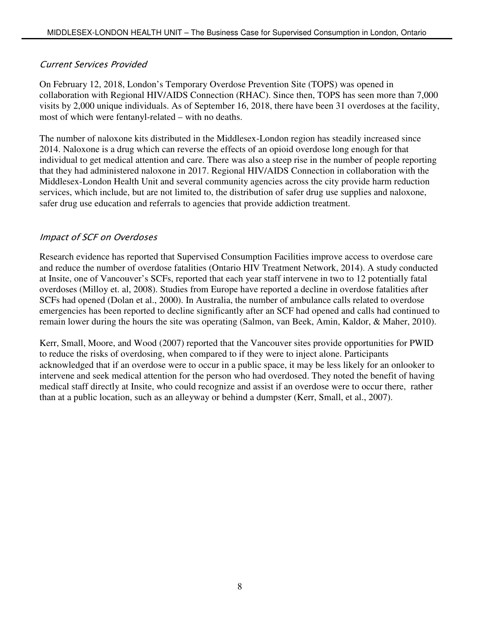#### Current Services Provided

On February 12, 2018, London's Temporary Overdose Prevention Site (TOPS) was opened in collaboration with Regional HIV/AIDS Connection (RHAC). Since then, TOPS has seen more than 7,000 visits by 2,000 unique individuals. As of September 16, 2018, there have been 31 overdoses at the facility, most of which were fentanyl-related – with no deaths.

The number of naloxone kits distributed in the Middlesex-London region has steadily increased since 2014. Naloxone is a drug which can reverse the effects of an opioid overdose long enough for that individual to get medical attention and care. There was also a steep rise in the number of people reporting that they had administered naloxone in 2017. Regional HIV/AIDS Connection in collaboration with the Middlesex-London Health Unit and several community agencies across the city provide harm reduction services, which include, but are not limited to, the distribution of safer drug use supplies and naloxone, safer drug use education and referrals to agencies that provide addiction treatment.

#### Impact of SCF on Overdoses

Research evidence has reported that Supervised Consumption Facilities improve access to overdose care and reduce the number of overdose fatalities (Ontario HIV Treatment Network, 2014). A study conducted at Insite, one of Vancouver's SCFs, reported that each year staff intervene in two to 12 potentially fatal overdoses (Milloy et. al, 2008). Studies from Europe have reported a decline in overdose fatalities after SCFs had opened (Dolan et al., 2000). In Australia, the number of ambulance calls related to overdose emergencies has been reported to decline significantly after an SCF had opened and calls had continued to remain lower during the hours the site was operating (Salmon, van Beek, Amin, Kaldor, & Maher, 2010).

Kerr, Small, Moore, and Wood (2007) reported that the Vancouver sites provide opportunities for PWID to reduce the risks of overdosing, when compared to if they were to inject alone. Participants acknowledged that if an overdose were to occur in a public space, it may be less likely for an onlooker to intervene and seek medical attention for the person who had overdosed. They noted the benefit of having medical staff directly at Insite, who could recognize and assist if an overdose were to occur there, rather than at a public location, such as an alleyway or behind a dumpster (Kerr, Small, et al., 2007).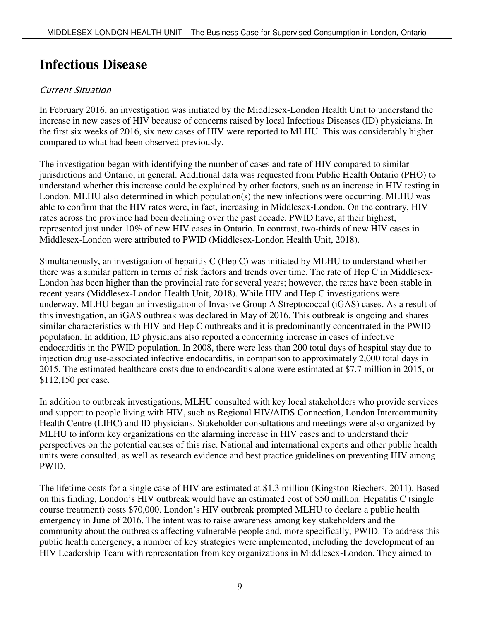## **Infectious Disease**

### Current Situation

In February 2016, an investigation was initiated by the Middlesex-London Health Unit to understand the increase in new cases of HIV because of concerns raised by local Infectious Diseases (ID) physicians. In the first six weeks of 2016, six new cases of HIV were reported to MLHU. This was considerably higher compared to what had been observed previously.

The investigation began with identifying the number of cases and rate of HIV compared to similar jurisdictions and Ontario, in general. Additional data was requested from Public Health Ontario (PHO) to understand whether this increase could be explained by other factors, such as an increase in HIV testing in London. MLHU also determined in which population(s) the new infections were occurring. MLHU was able to confirm that the HIV rates were, in fact, increasing in Middlesex-London. On the contrary, HIV rates across the province had been declining over the past decade. PWID have, at their highest, represented just under 10% of new HIV cases in Ontario. In contrast, two-thirds of new HIV cases in Middlesex-London were attributed to PWID (Middlesex-London Health Unit, 2018).

Simultaneously, an investigation of hepatitis C (Hep C) was initiated by MLHU to understand whether there was a similar pattern in terms of risk factors and trends over time. The rate of Hep C in Middlesex-London has been higher than the provincial rate for several years; however, the rates have been stable in recent years (Middlesex-London Health Unit, 2018). While HIV and Hep C investigations were underway, MLHU began an investigation of Invasive Group A Streptococcal (iGAS) cases. As a result of this investigation, an iGAS outbreak was declared in May of 2016. This outbreak is ongoing and shares similar characteristics with HIV and Hep C outbreaks and it is predominantly concentrated in the PWID population. In addition, ID physicians also reported a concerning increase in cases of infective endocarditis in the PWID population. In 2008, there were less than 200 total days of hospital stay due to injection drug use-associated infective endocarditis, in comparison to approximately 2,000 total days in 2015. The estimated healthcare costs due to endocarditis alone were estimated at \$7.7 million in 2015, or \$112,150 per case.

In addition to outbreak investigations, MLHU consulted with key local stakeholders who provide services and support to people living with HIV, such as Regional HIV/AIDS Connection, London Intercommunity Health Centre (LIHC) and ID physicians. Stakeholder consultations and meetings were also organized by MLHU to inform key organizations on the alarming increase in HIV cases and to understand their perspectives on the potential causes of this rise. National and international experts and other public health units were consulted, as well as research evidence and best practice guidelines on preventing HIV among PWID.

The lifetime costs for a single case of HIV are estimated at \$1.3 million (Kingston-Riechers, 2011). Based on this finding, London's HIV outbreak would have an estimated cost of \$50 million. Hepatitis C (single course treatment) costs \$70,000. London's HIV outbreak prompted MLHU to declare a public health emergency in June of 2016. The intent was to raise awareness among key stakeholders and the community about the outbreaks affecting vulnerable people and, more specifically, PWID. To address this public health emergency, a number of key strategies were implemented, including the development of an HIV Leadership Team with representation from key organizations in Middlesex-London. They aimed to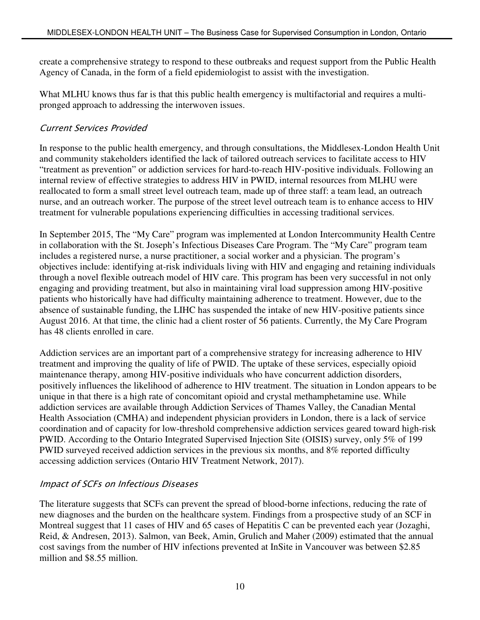create a comprehensive strategy to respond to these outbreaks and request support from the Public Health Agency of Canada, in the form of a field epidemiologist to assist with the investigation.

What MLHU knows thus far is that this public health emergency is multifactorial and requires a multipronged approach to addressing the interwoven issues.

#### Current Services Provided

In response to the public health emergency, and through consultations, the Middlesex-London Health Unit and community stakeholders identified the lack of tailored outreach services to facilitate access to HIV "treatment as prevention" or addiction services for hard-to-reach HIV-positive individuals. Following an internal review of effective strategies to address HIV in PWID, internal resources from MLHU were reallocated to form a small street level outreach team, made up of three staff: a team lead, an outreach nurse, and an outreach worker. The purpose of the street level outreach team is to enhance access to HIV treatment for vulnerable populations experiencing difficulties in accessing traditional services.

In September 2015, The "My Care" program was implemented at London Intercommunity Health Centre in collaboration with the St. Joseph's Infectious Diseases Care Program. The "My Care" program team includes a registered nurse, a nurse practitioner, a social worker and a physician. The program's objectives include: identifying at-risk individuals living with HIV and engaging and retaining individuals through a novel flexible outreach model of HIV care. This program has been very successful in not only engaging and providing treatment, but also in maintaining viral load suppression among HIV-positive patients who historically have had difficulty maintaining adherence to treatment. However, due to the absence of sustainable funding, the LIHC has suspended the intake of new HIV-positive patients since August 2016. At that time, the clinic had a client roster of 56 patients. Currently, the My Care Program has 48 clients enrolled in care.

Addiction services are an important part of a comprehensive strategy for increasing adherence to HIV treatment and improving the quality of life of PWID. The uptake of these services, especially opioid maintenance therapy, among HIV-positive individuals who have concurrent addiction disorders, positively influences the likelihood of adherence to HIV treatment. The situation in London appears to be unique in that there is a high rate of concomitant opioid and crystal methamphetamine use. While addiction services are available through Addiction Services of Thames Valley, the Canadian Mental Health Association (CMHA) and independent physician providers in London, there is a lack of service coordination and of capacity for low-threshold comprehensive addiction services geared toward high-risk PWID. According to the Ontario Integrated Supervised Injection Site (OISIS) survey, only 5% of 199 PWID surveyed received addiction services in the previous six months, and 8% reported difficulty accessing addiction services (Ontario HIV Treatment Network, 2017).

#### Impact of SCFs on Infectious Diseases

The literature suggests that SCFs can prevent the spread of blood-borne infections, reducing the rate of new diagnoses and the burden on the healthcare system. Findings from a prospective study of an SCF in Montreal suggest that 11 cases of HIV and 65 cases of Hepatitis C can be prevented each year (Jozaghi, Reid, & Andresen, 2013). Salmon, van Beek, Amin, Grulich and Maher (2009) estimated that the annual cost savings from the number of HIV infections prevented at InSite in Vancouver was between \$2.85 million and \$8.55 million.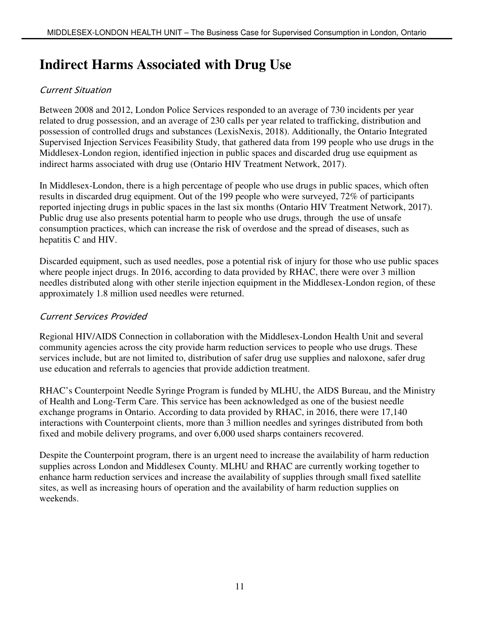## **Indirect Harms Associated with Drug Use**

### Current Situation

Between 2008 and 2012, London Police Services responded to an average of 730 incidents per year related to drug possession, and an average of 230 calls per year related to trafficking, distribution and possession of controlled drugs and substances (LexisNexis, 2018). Additionally, the Ontario Integrated Supervised Injection Services Feasibility Study, that gathered data from 199 people who use drugs in the Middlesex-London region, identified injection in public spaces and discarded drug use equipment as indirect harms associated with drug use (Ontario HIV Treatment Network, 2017).

In Middlesex-London, there is a high percentage of people who use drugs in public spaces, which often results in discarded drug equipment. Out of the 199 people who were surveyed, 72% of participants reported injecting drugs in public spaces in the last six months (Ontario HIV Treatment Network, 2017). Public drug use also presents potential harm to people who use drugs, through the use of unsafe consumption practices, which can increase the risk of overdose and the spread of diseases, such as hepatitis C and HIV.

Discarded equipment, such as used needles, pose a potential risk of injury for those who use public spaces where people inject drugs. In 2016, according to data provided by RHAC, there were over 3 million needles distributed along with other sterile injection equipment in the Middlesex-London region, of these approximately 1.8 million used needles were returned.

#### Current Services Provided

Regional HIV/AIDS Connection in collaboration with the Middlesex-London Health Unit and several community agencies across the city provide harm reduction services to people who use drugs. These services include, but are not limited to, distribution of safer drug use supplies and naloxone, safer drug use education and referrals to agencies that provide addiction treatment.

RHAC's Counterpoint Needle Syringe Program is funded by MLHU, the AIDS Bureau, and the Ministry of Health and Long-Term Care. This service has been acknowledged as one of the busiest needle exchange programs in Ontario. According to data provided by RHAC, in 2016, there were 17,140 interactions with Counterpoint clients, more than 3 million needles and syringes distributed from both fixed and mobile delivery programs, and over 6,000 used sharps containers recovered.

Despite the Counterpoint program, there is an urgent need to increase the availability of harm reduction supplies across London and Middlesex County. MLHU and RHAC are currently working together to enhance harm reduction services and increase the availability of supplies through small fixed satellite sites, as well as increasing hours of operation and the availability of harm reduction supplies on weekends.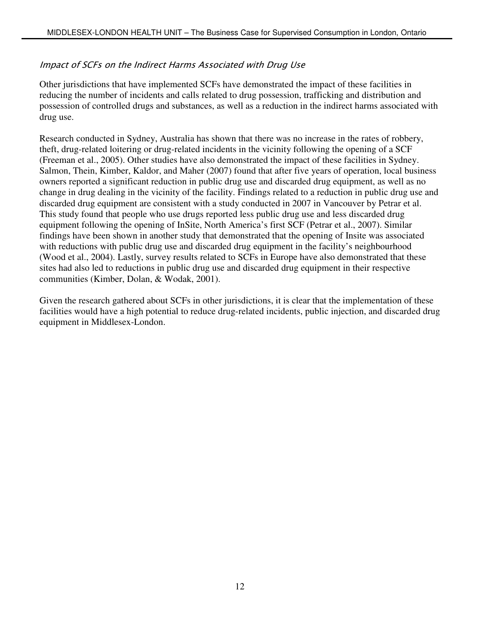#### Impact of SCFs on the Indirect Harms Associated with Drug Use

Other jurisdictions that have implemented SCFs have demonstrated the impact of these facilities in reducing the number of incidents and calls related to drug possession, trafficking and distribution and possession of controlled drugs and substances, as well as a reduction in the indirect harms associated with drug use.

Research conducted in Sydney, Australia has shown that there was no increase in the rates of robbery, theft, drug-related loitering or drug-related incidents in the vicinity following the opening of a SCF (Freeman et al., 2005). Other studies have also demonstrated the impact of these facilities in Sydney. Salmon, Thein, Kimber, Kaldor, and Maher (2007) found that after five years of operation, local business owners reported a significant reduction in public drug use and discarded drug equipment, as well as no change in drug dealing in the vicinity of the facility. Findings related to a reduction in public drug use and discarded drug equipment are consistent with a study conducted in 2007 in Vancouver by Petrar et al. This study found that people who use drugs reported less public drug use and less discarded drug equipment following the opening of InSite, North America's first SCF (Petrar et al., 2007). Similar findings have been shown in another study that demonstrated that the opening of Insite was associated with reductions with public drug use and discarded drug equipment in the facility's neighbourhood (Wood et al., 2004). Lastly, survey results related to SCFs in Europe have also demonstrated that these sites had also led to reductions in public drug use and discarded drug equipment in their respective communities (Kimber, Dolan, & Wodak, 2001).

Given the research gathered about SCFs in other jurisdictions, it is clear that the implementation of these facilities would have a high potential to reduce drug-related incidents, public injection, and discarded drug equipment in Middlesex-London.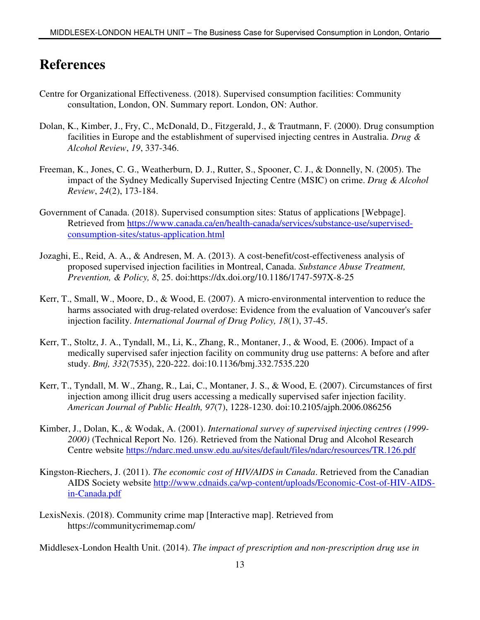### **References**

- Centre for Organizational Effectiveness. (2018). Supervised consumption facilities: Community consultation, London, ON. Summary report. London, ON: Author.
- Dolan, K., Kimber, J., Fry, C., McDonald, D., Fitzgerald, J., & Trautmann, F. (2000). Drug consumption facilities in Europe and the establishment of supervised injecting centres in Australia. *Drug & Alcohol Review*, *19*, 337-346.
- Freeman, K., Jones, C. G., Weatherburn, D. J., Rutter, S., Spooner, C. J., & Donnelly, N. (2005). The impact of the Sydney Medically Supervised Injecting Centre (MSIC) on crime. *Drug & Alcohol Review*, *24*(2), 173-184.
- Government of Canada. (2018). Supervised consumption sites: Status of applications [Webpage]. Retrieved from https://www.canada.ca/en/health-canada/services/substance-use/supervisedconsumption-sites/status-application.html
- Jozaghi, E., Reid, A. A., & Andresen, M. A. (2013). A cost-benefit/cost-effectiveness analysis of proposed supervised injection facilities in Montreal, Canada. *Substance Abuse Treatment, Prevention, & Policy, 8*, 25. doi:https://dx.doi.org/10.1186/1747-597X-8-25
- Kerr, T., Small, W., Moore, D., & Wood, E. (2007). A micro-environmental intervention to reduce the harms associated with drug-related overdose: Evidence from the evaluation of Vancouver's safer injection facility. *International Journal of Drug Policy, 18*(1), 37-45.
- Kerr, T., Stoltz, J. A., Tyndall, M., Li, K., Zhang, R., Montaner, J., & Wood, E. (2006). Impact of a medically supervised safer injection facility on community drug use patterns: A before and after study. *Bmj, 332*(7535), 220-222. doi:10.1136/bmj.332.7535.220
- Kerr, T., Tyndall, M. W., Zhang, R., Lai, C., Montaner, J. S., & Wood, E. (2007). Circumstances of first injection among illicit drug users accessing a medically supervised safer injection facility. *American Journal of Public Health, 97*(7), 1228-1230. doi:10.2105/ajph.2006.086256
- Kimber, J., Dolan, K., & Wodak, A. (2001). *International survey of supervised injecting centres (1999- 2000)* (Technical Report No. 126). Retrieved from the National Drug and Alcohol Research Centre website https://ndarc.med.unsw.edu.au/sites/default/files/ndarc/resources/TR.126.pdf
- Kingston-Riechers, J. (2011). *The economic cost of HIV/AIDS in Canada*. Retrieved from the Canadian AIDS Society website http://www.cdnaids.ca/wp-content/uploads/Economic-Cost-of-HIV-AIDSin-Canada.pdf
- LexisNexis. (2018). Community crime map [Interactive map]. Retrieved from https://communitycrimemap.com/

Middlesex-London Health Unit. (2014). *The impact of prescription and non-prescription drug use in*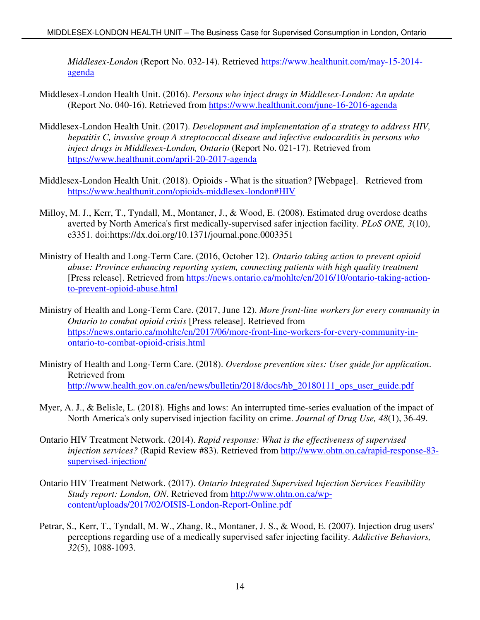*Middlesex-London* (Report No. 032-14). Retrieved https://www.healthunit.com/may-15-2014 agenda

- Middlesex-London Health Unit. (2016). *Persons who inject drugs in Middlesex-London: An update* (Report No. 040-16). Retrieved from https://www.healthunit.com/june-16-2016-agenda
- Middlesex-London Health Unit. (2017). *Development and implementation of a strategy to address HIV, hepatitis C, invasive group A streptococcal disease and infective endocarditis in persons who inject drugs in Middlesex-London, Ontario* (Report No. 021-17). Retrieved from https://www.healthunit.com/april-20-2017-agenda
- Middlesex-London Health Unit. (2018). Opioids What is the situation? [Webpage]. Retrieved from https://www.healthunit.com/opioids-middlesex-london#HIV
- Milloy, M. J., Kerr, T., Tyndall, M., Montaner, J., & Wood, E. (2008). Estimated drug overdose deaths averted by North America's first medically-supervised safer injection facility. *PLoS ONE, 3*(10), e3351. doi:https://dx.doi.org/10.1371/journal.pone.0003351
- Ministry of Health and Long-Term Care. (2016, October 12). *Ontario taking action to prevent opioid abuse: Province enhancing reporting system, connecting patients with high quality treatment* [Press release]. Retrieved from https://news.ontario.ca/mohltc/en/2016/10/ontario-taking-actionto-prevent-opioid-abuse.html
- Ministry of Health and Long-Term Care. (2017, June 12). *More front-line workers for every community in Ontario to combat opioid crisis* [Press release]. Retrieved from https://news.ontario.ca/mohltc/en/2017/06/more-front-line-workers-for-every-community-inontario-to-combat-opioid-crisis.html
- Ministry of Health and Long-Term Care. (2018). *Overdose prevention sites: User guide for application*. Retrieved from http://www.health.gov.on.ca/en/news/bulletin/2018/docs/hb\_20180111\_ops\_user\_guide.pdf
- Myer, A. J., & Belisle, L. (2018). Highs and lows: An interrupted time-series evaluation of the impact of North America's only supervised injection facility on crime. *Journal of Drug Use, 48*(1), 36-49.
- Ontario HIV Treatment Network. (2014). *Rapid response: What is the effectiveness of supervised injection services?* (Rapid Review #83). Retrieved from http://www.ohtn.on.ca/rapid-response-83 supervised-injection/
- Ontario HIV Treatment Network. (2017). *Ontario Integrated Supervised Injection Services Feasibility Study report: London, ON*. Retrieved from http://www.ohtn.on.ca/wpcontent/uploads/2017/02/OISIS-London-Report-Online.pdf
- Petrar, S., Kerr, T., Tyndall, M. W., Zhang, R., Montaner, J. S., & Wood, E. (2007). Injection drug users' perceptions regarding use of a medically supervised safer injecting facility. *Addictive Behaviors, 32*(5), 1088-1093.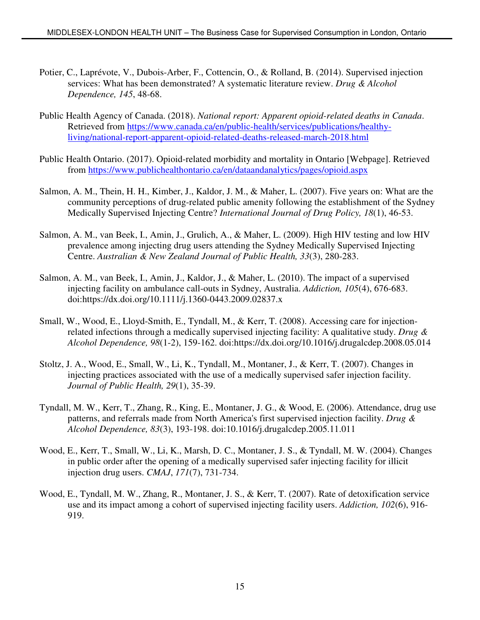- Potier, C., Laprévote, V., Dubois-Arber, F., Cottencin, O., & Rolland, B. (2014). Supervised injection services: What has been demonstrated? A systematic literature review. *Drug & Alcohol Dependence, 145*, 48-68.
- Public Health Agency of Canada. (2018). *National report: Apparent opioid-related deaths in Canada*. Retrieved from https://www.canada.ca/en/public-health/services/publications/healthyliving/national-report-apparent-opioid-related-deaths-released-march-2018.html
- Public Health Ontario. (2017). Opioid-related morbidity and mortality in Ontario [Webpage]. Retrieved from https://www.publichealthontario.ca/en/dataandanalytics/pages/opioid.aspx
- Salmon, A. M., Thein, H. H., Kimber, J., Kaldor, J. M., & Maher, L. (2007). Five years on: What are the community perceptions of drug-related public amenity following the establishment of the Sydney Medically Supervised Injecting Centre? *International Journal of Drug Policy, 18*(1), 46-53.
- Salmon, A. M., van Beek, I., Amin, J., Grulich, A., & Maher, L. (2009). High HIV testing and low HIV prevalence among injecting drug users attending the Sydney Medically Supervised Injecting Centre. *Australian & New Zealand Journal of Public Health, 33*(3), 280-283.
- Salmon, A. M., van Beek, I., Amin, J., Kaldor, J., & Maher, L. (2010). The impact of a supervised injecting facility on ambulance call-outs in Sydney, Australia. *Addiction, 105*(4), 676-683. doi:https://dx.doi.org/10.1111/j.1360-0443.2009.02837.x
- Small, W., Wood, E., Lloyd-Smith, E., Tyndall, M., & Kerr, T. (2008). Accessing care for injectionrelated infections through a medically supervised injecting facility: A qualitative study. *Drug & Alcohol Dependence, 98*(1-2), 159-162. doi:https://dx.doi.org/10.1016/j.drugalcdep.2008.05.014
- Stoltz, J. A., Wood, E., Small, W., Li, K., Tyndall, M., Montaner, J., & Kerr, T. (2007). Changes in injecting practices associated with the use of a medically supervised safer injection facility. *Journal of Public Health, 29*(1), 35-39.
- Tyndall, M. W., Kerr, T., Zhang, R., King, E., Montaner, J. G., & Wood, E. (2006). Attendance, drug use patterns, and referrals made from North America's first supervised injection facility. *Drug & Alcohol Dependence, 83*(3), 193-198. doi:10.1016/j.drugalcdep.2005.11.011
- Wood, E., Kerr, T., Small, W., Li, K., Marsh, D. C., Montaner, J. S., & Tyndall, M. W. (2004). Changes in public order after the opening of a medically supervised safer injecting facility for illicit injection drug users. *CMAJ*, *171*(7), 731-734.
- Wood, E., Tyndall, M. W., Zhang, R., Montaner, J. S., & Kerr, T. (2007). Rate of detoxification service use and its impact among a cohort of supervised injecting facility users. *Addiction, 102*(6), 916- 919.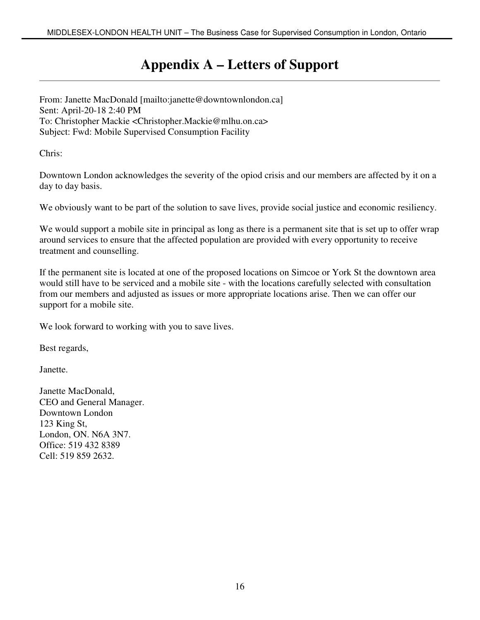## **Appendix A – Letters of Support**

From: Janette MacDonald [mailto:janette@downtownlondon.ca] Sent: April-20-18 2:40 PM To: Christopher Mackie <Christopher.Mackie@mlhu.on.ca> Subject: Fwd: Mobile Supervised Consumption Facility

Chris:

Downtown London acknowledges the severity of the opiod crisis and our members are affected by it on a day to day basis.

We obviously want to be part of the solution to save lives, provide social justice and economic resiliency.

We would support a mobile site in principal as long as there is a permanent site that is set up to offer wrap around services to ensure that the affected population are provided with every opportunity to receive treatment and counselling.

If the permanent site is located at one of the proposed locations on Simcoe or York St the downtown area would still have to be serviced and a mobile site - with the locations carefully selected with consultation from our members and adjusted as issues or more appropriate locations arise. Then we can offer our support for a mobile site.

We look forward to working with you to save lives.

Best regards,

Janette.

Janette MacDonald, CEO and General Manager. Downtown London 123 King St, London, ON. N6A 3N7. Office: 519 432 8389 Cell: 519 859 2632.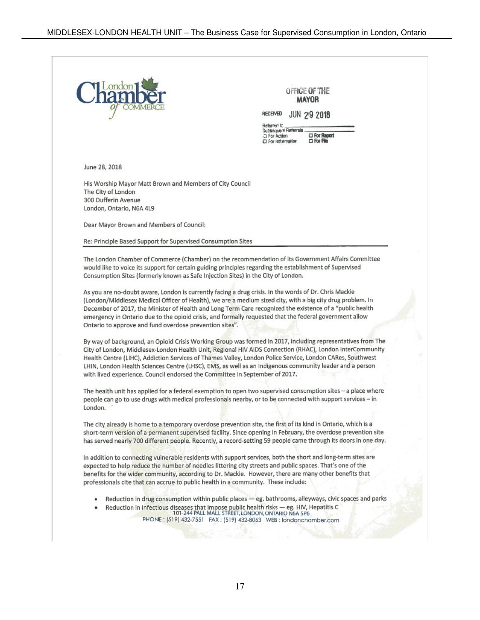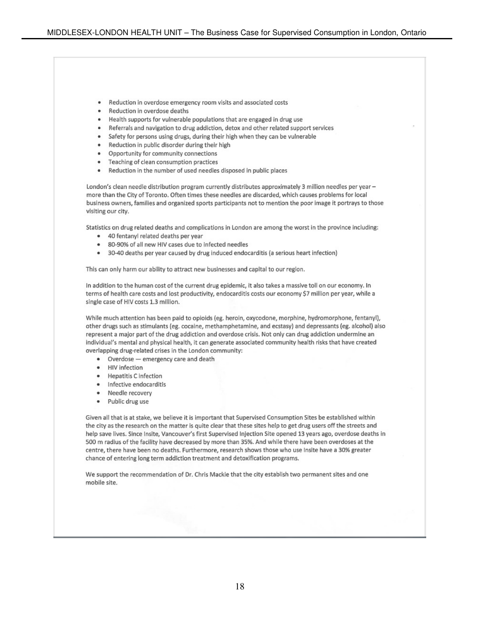- Reduction in overdose emergency room visits and associated costs
- Reduction in overdose deaths
- Health supports for vulnerable populations that are engaged in drug use
- Referrals and navigation to drug addiction, detox and other related support services
- Safety for persons using drugs, during their high when they can be vulnerable
- Reduction in public disorder during their high
- Opportunity for community connections
- Teaching of clean consumption practices
- . Reduction in the number of used needles disposed in public places

London's clean needle distribution program currently distributes approximately 3 million needles per year more than the City of Toronto. Often times these needles are discarded, which causes problems for local business owners, families and organized sports participants not to mention the poor image it portrays to those visiting our city.

Statistics on drug related deaths and complications in London are among the worst in the province including:

- 40 fentanyl related deaths per year
- 80-90% of all new HIV cases due to infected needles
- 30-40 deaths per year caused by drug induced endocarditis (a serious heart infection)

This can only harm our ability to attract new businesses and capital to our region.

In addition to the human cost of the current drug epidemic, it also takes a massive toll on our economy. In terms of health care costs and lost productivity, endocarditis costs our economy \$7 million per year, while a single case of HIV costs 1.3 million.

While much attention has been paid to opioids (eg. heroin, oxycodone, morphine, hydromorphone, fentanyl), other drugs such as stimulants (eg. cocaine, methamphetamine, and ecstasy) and depressants (eg. alcohol) also represent a major part of the drug addiction and overdose crisis. Not only can drug addiction undermine an individual's mental and physical health, it can generate associated community health risks that have created overlapping drug-related crises in the London community:

- Overdose emergency care and death
- HIV infection
- Hepatitis C infection
- · Infective endocarditis
- Needle recovery  $\bullet$
- $\bullet$ Public drug use

Given all that is at stake, we believe it is important that Supervised Consumption Sites be established within the city as the research on the matter is quite clear that these sites help to get drug users off the streets and help save lives. Since Insite, Vancouver's first Supervised Injection Site opened 13 years ago, overdose deaths in 500 m radius of the facility have decreased by more than 35%. And while there have been overdoses at the centre, there have been no deaths. Furthermore, research shows those who use Insite have a 30% greater chance of entering long term addiction treatment and detoxification programs.

We support the recommendation of Dr. Chris Mackie that the city establish two permanent sites and one mobile site.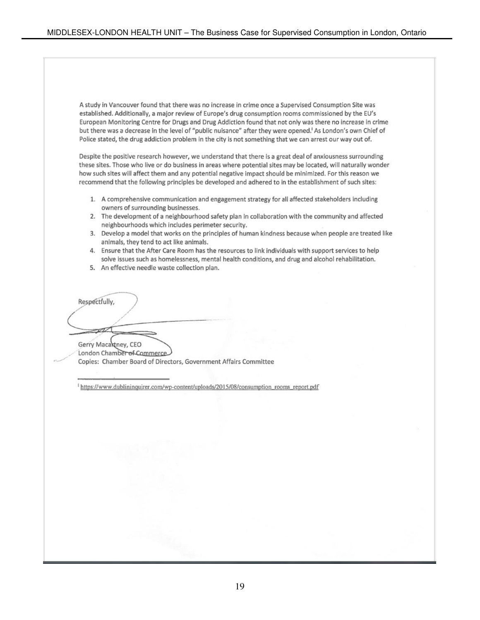A study in Vancouver found that there was no increase in crime once a Supervised Consumption Site was established. Additionally, a major review of Europe's drug consumption rooms commissioned by the EU's European Monitoring Centre for Drugs and Drug Addiction found that not only was there no increase in crime but there was a decrease in the level of "public nuisance" after they were opened.<sup>I</sup> As London's own Chief of Police stated, the drug addiction problem in the city is not something that we can arrest our way out of.

Despite the positive research however, we understand that there is a great deal of anxiousness surrounding these sites. Those who live or do business in areas where potential sites may be located, will naturally wonder how such sites will affect them and any potential negative impact should be minimized. For this reason we recommend that the following principles be developed and adhered to in the establishment of such sites:

- 1. A comprehensive communication and engagement strategy for all affected stakeholders including owners of surrounding businesses.
- 2. The development of a neighbourhood safety plan in collaboration with the community and affected neighbourhoods which includes perimeter security.
- 3. Develop a model that works on the principles of human kindness because when people are treated like animals, they tend to act like animals.
- 4. Ensure that the After Care Room has the resources to link individuals with support services to help solve issues such as homelessness, mental health conditions, and drug and alcohol rehabilitation.
- 5. An effective needle waste collection plan.

Respectfully,

Gerry Macaktney, CEO London Chamber of Commerce Copies: Chamber Board of Directors, Government Affairs Committee

https://www.dublininquirer.com/wp-content/uploads/2015/08/consumption\_rooms\_report.pdf